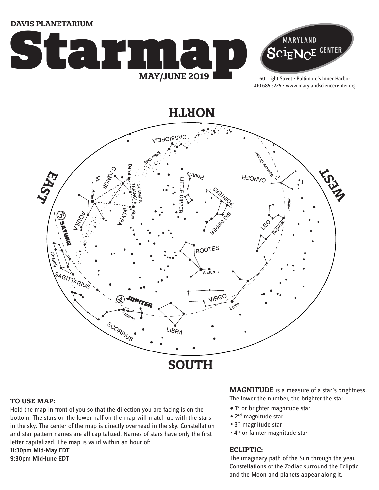**DAVIS PLANETARIUM**





601 Light Street • Baltimore's Inner Harbor 410.685.5225 • www.marylandsciencecenter.org

**NORTH**



#### **TO USE MAP:**

Hold the map in front of you so that the direction you are facing is on the bottom. The stars on the lower half on the map will match up with the stars in the sky. The center of the map is directly overhead in the sky. Constellation and star pattern names are all capitalized. Names of stars have only the first letter capitalized. The map is valid within an hour of: 11:30pm Mid-May EDT 9:30pm Mid-June EDT

**MAGNITUDE** is a measure of a star's brightness. The lower the number, the brighter the star

- 1<sup>st</sup> or brighter magnitude star
- 2<sup>nd</sup> magnitude star
- 3<sup>rd</sup> magnitude star
- . 4<sup>th</sup> or fainter magnitude star

## **ECLIPTIC:**

The imaginary path of the Sun through the year. Constellations of the Zodiac surround the Ecliptic and the Moon and planets appear along it.